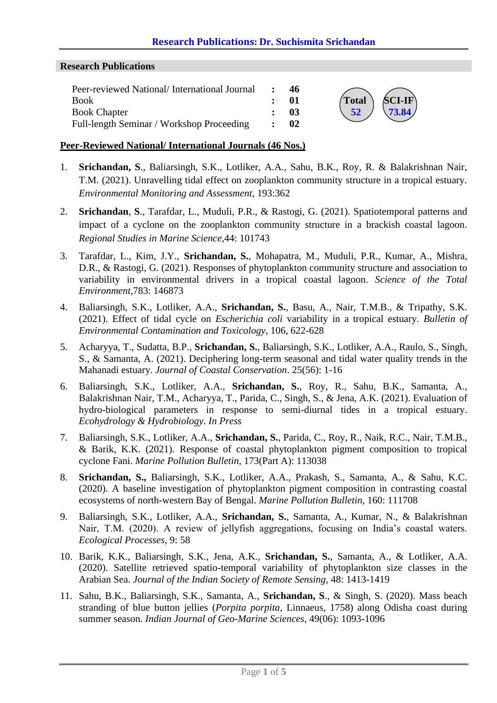## **Research Publications: Dr. Suchismita Srichandan**

#### **Research Publications**

| Peer-reviewed National/International Journal | -46             |                                            |
|----------------------------------------------|-----------------|--------------------------------------------|
| Book                                         | - 01            | $Total \ SCI-IF$                           |
| <b>Book Chapter</b>                          | - 03            | $\begin{pmatrix} 52 \end{pmatrix}$ (73.84) |
| Full-length Seminar / Workshop Proceeding    | $\therefore$ 02 |                                            |

#### **Peer-Reviewed National/ International Journals (46 Nos.)**

- 1. **Srichandan, S**., Baliarsingh, S.K., Lotliker, A.A., Sahu, B.K., Roy, R. & Balakrishnan Nair, T.M. (2021). Unravelling tidal effect on zooplankton community structure in a tropical estuary. *Environmental Monitoring and Assessment*, 193:362
- 2. **Srichandan**, **S**., Tarafdar, L., Muduli, P.R., & Rastogi, G. (2021). Spatiotemporal patterns and impact of a cyclone on the zooplankton community structure in a brackish coastal lagoon. *Regional Studies in Marine Science*,44: 101743
- 3. Tarafdar, L., Kim, J.Y., **Srichandan, S.**, Mohapatra, M., Muduli, P.R., Kumar, A., Mishra, D.R., & Rastogi, G. (2021). Responses of phytoplankton community structure and association to variability in environmental drivers in a tropical coastal lagoon. *Science of the Total Environment*,783: 146873
- 4. Baliarsingh, S.K., Lotliker, A.A., **Srichandan, S.**, Basu, A., Nair, T.M.B., & Tripathy, S.K. (2021). Effect of tidal cycle on *Escherichia coli* variability in a tropical estuary. *Bulletin of Environmental Contamination and Toxicology*, 106, 622-628
- 5. Acharyya, T., Sudatta, B.P., **Srichandan, S.**, Baliarsingh, S.K., Lotliker, A.A., Raulo, S., Singh, S., & Samanta, A. (2021). Deciphering long-term seasonal and tidal water quality trends in the Mahanadi estuary. *Journal of Coastal Conservation*. 25(56): 1-16
- 6. Baliarsingh, S.K., Lotliker, A.A., **Srichandan, S.**, Roy, R., Sahu, B.K., Samanta, A., Balakrishnan Nair, T.M., Acharyya, T., Parida, C., Singh, S., & Jena, A.K. (2021). Evaluation of hydro-biological parameters in response to semi-diurnal tides in a tropical estuary. *Ecohydrology & Hydrobiology*. *In Press*
- 7. Baliarsingh, S.K., Lotliker, A.A., **Srichandan, S.**, Parida, C., Roy, R., Naik, R.C., Nair, T.M.B., & Barik, K.K. (2021). Response of coastal phytoplankton pigment composition to tropical cyclone Fani. *Marine Pollution Bulletin*, 173(Part A): 113038
- 8. **Srichandan, S.,** Baliarsingh, S.K., Lotliker, A.A., Prakash, S., Samanta, A., & Sahu, K.C. (2020). A baseline investigation of phytoplankton pigment composition in contrasting coastal ecosystems of north-western Bay of Bengal. *Marine Pollution Bulletin*, 160: 111708
- 9. Baliarsingh, S.K., Lotliker, A.A., **Srichandan, S.**, Samanta, A., Kumar, N., & Balakrishnan Nair, T.M. (2020). A review of jellyfish aggregations, focusing on India's coastal waters. *Ecological Processes*, 9: 58
- 10. Barik, K.K., Baliarsingh, S.K., Jena, A.K., **Srichandan, S.**, Samanta, A., & Lotliker, A.A. (2020). Satellite retrieved spatio-temporal variability of phytoplankton size classes in the Arabian Sea. *Journal of the Indian Society of Remote Sensing*, 48: 1413-1419
- 11. Sahu, B.K., Baliarsingh, S.K., Samanta, A., **Srichandan, S**., & Singh, S. (2020). Mass beach stranding of blue button jellies (*Porpita porpita*, Linnaeus, 1758) along Odisha coast during summer season. *Indian Journal of Geo-Marine Sciences*, 49(06): 1093-1096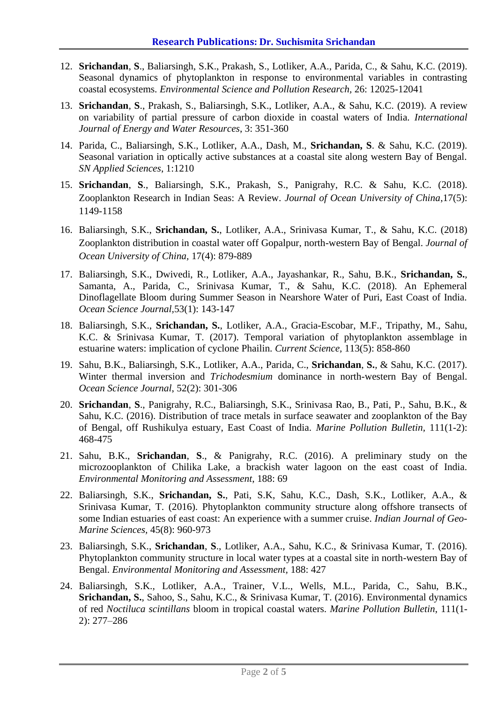- 12. **Srichandan**, **S**., Baliarsingh, S.K., Prakash, S., Lotliker, A.A., Parida, C., & Sahu, K.C. (2019). Seasonal dynamics of phytoplankton in response to environmental variables in contrasting coastal ecosystems. *Environmental Science and Pollution Research,* 26: 12025-12041
- 13. **Srichandan**, **S**., Prakash, S., Baliarsingh, S.K., Lotliker, A.A., & Sahu, K.C. (2019). A review on variability of partial pressure of carbon dioxide in coastal waters of India. *International Journal of Energy and Water Resources*, 3: 351-360
- 14. Parida, C., Baliarsingh, S.K., Lotliker, A.A., Dash, M., **Srichandan, S**. & Sahu, K.C. (2019). Seasonal variation in optically active substances at a coastal site along western Bay of Bengal. *SN Applied Sciences*, 1:1210
- 15. **Srichandan**, **S**., Baliarsingh, S.K., Prakash, S., Panigrahy, R.C. & Sahu, K.C. (2018). Zooplankton Research in Indian Seas: A Review. *Journal of Ocean University of China*,17(5): 1149-1158
- 16. Baliarsingh, S.K., **Srichandan, S.**, Lotliker, A.A., Srinivasa Kumar, T., & Sahu, K.C. (2018) Zooplankton distribution in coastal water off Gopalpur, north-western Bay of Bengal. *Journal of Ocean University of China,* 17(4): 879-889
- 17. Baliarsingh, S.K., Dwivedi, R., Lotliker, A.A., Jayashankar, R., Sahu, B.K., **Srichandan, S.**, Samanta, A., Parida, C., Srinivasa Kumar, T., & Sahu, K.C. (2018). An Ephemeral Dinoflagellate Bloom during Summer Season in Nearshore Water of Puri, East Coast of India. *Ocean Science Journal,*53(1): 143-147
- 18. Baliarsingh, S.K., **Srichandan, S.**, Lotliker, A.A., Gracia-Escobar, M.F., Tripathy, M., Sahu, K.C. & Srinivasa Kumar, T. (2017). Temporal variation of phytoplankton assemblage in estuarine waters: implication of cyclone Phailin. *Current Science,* 113(5): 858-860
- 19. Sahu, B.K., Baliarsingh, S.K., Lotliker, A.A., Parida, C., **Srichandan**, **S.**, & Sahu, K.C. (2017). Winter thermal inversion and *Trichodesmium* dominance in north-western Bay of Bengal. *Ocean Science Journal*, 52(2): 301-306
- 20. **Srichandan**, **S**., Panigrahy, R.C., Baliarsingh, S.K., Srinivasa Rao, B., Pati, P., Sahu, B.K., & Sahu, K.C. (2016). Distribution of trace metals in surface seawater and zooplankton of the Bay of Bengal, off Rushikulya estuary, East Coast of India. *Marine Pollution Bulletin,* 111(1-2): 468-475
- 21. Sahu, B.K., **Srichandan**, **S**., & Panigrahy, R.C. (2016). A preliminary study on the microzooplankton of Chilika Lake, a brackish water lagoon on the east coast of India. *Environmental Monitoring and Assessment*, 188: 69
- 22. Baliarsingh, S.K., **Srichandan, S.**, Pati, S.K, Sahu, K.C., Dash, S.K., Lotliker, A.A., & Srinivasa Kumar, T. (2016). Phytoplankton community structure along offshore transects of some Indian estuaries of east coast: An experience with a summer cruise. *Indian Journal of Geo-Marine Sciences,* 45(8): 960-973
- 23. Baliarsingh, S.K., **Srichandan**, **S**., Lotliker, A.A., Sahu, K.C., & Srinivasa Kumar, T. (2016). Phytoplankton community structure in local water types at a coastal site in north-western Bay of Bengal. *Environmental Monitoring and Assessment,* 188: 427
- 24. Baliarsingh, S.K., Lotliker, A.A., Trainer, V.L., Wells, M.L., Parida, C., Sahu, B.K., **Srichandan, S.**, Sahoo, S., Sahu, K.C., & Srinivasa Kumar, T. (2016). Environmental dynamics of red *Noctiluca scintillans* bloom in tropical coastal waters. *Marine Pollution Bulletin*, 111(1- 2): 277–286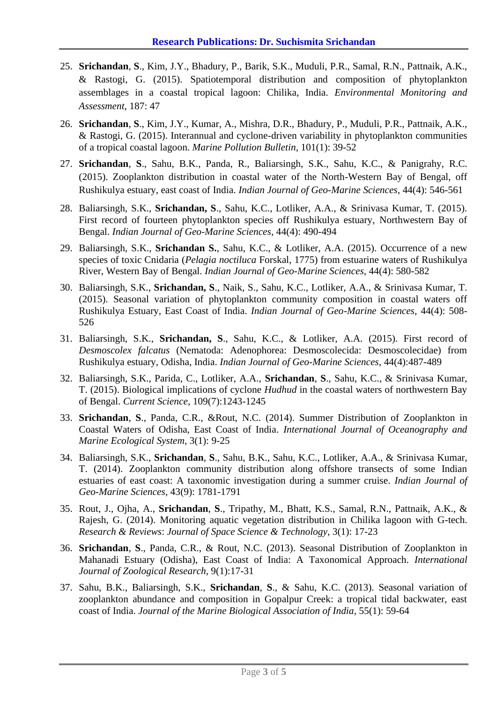- 25. **Srichandan**, **S**., Kim, J.Y., Bhadury, P., Barik, S.K., Muduli, P.R., Samal, R.N., Pattnaik, A.K., & Rastogi, G. (2015). Spatiotemporal distribution and composition of phytoplankton assemblages in a coastal tropical lagoon: Chilika, India. *Environmental Monitoring and Assessment*, 187: 47
- 26. **Srichandan**, **S**., Kim, J.Y., Kumar, A., Mishra, D.R., Bhadury, P., Muduli, P.R., Pattnaik, A.K., & Rastog[i,](http://www.sciencedirect.com/science/article/pii/S0025326X15301806#af0005) G. (2015). Interannual and cyclone-driven variability in phytoplankton communities of a tropical coastal lagoon. *Marine Pollution Bulletin*, 101(1): 39-52
- 27. **Srichandan**, **S**., Sahu, B.K., Panda, R., Baliarsingh, S.K., Sahu, K.C., & Panigrahy, R.C. (2015). Zooplankton distribution in coastal water of the North-Western Bay of Bengal, off Rushikulya estuary, east coast of India. *Indian Journal of Geo-Marine Sciences,* 44(4): 546-561
- 28. Baliarsingh, S.K., **Srichandan, S**., Sahu, K.C., Lotliker, A.A., & Srinivasa Kumar, T. (2015). First record of fourteen phytoplankton species off Rushikulya estuary, Northwestern Bay of Bengal. *Indian Journal of Geo-Marine Sciences*, 44(4): 490-494
- 29. Baliarsingh, S.K., **Srichandan S.**, Sahu, K.C., & Lotliker, A.A. (2015). Occurrence of a new species of toxic Cnidaria (*Pelagia noctiluca* Forskal, 1775) from estuarine waters of Rushikulya River, Western Bay of Bengal. *Indian Journal of Geo-Marine Sciences*, 44(4): 580-582
- 30. Baliarsingh, S.K., **Srichandan, S**., Naik, S., Sahu, K.C., Lotliker, A.A., & Srinivasa Kumar, T. (2015). Seasonal variation of phytoplankton community composition in coastal waters off Rushikulya Estuary, East Coast of India. *Indian Journal of Geo-Marine Sciences*, 44(4): 508- 526
- 31. Baliarsingh, S.K., **Srichandan, S**., Sahu, K.C., & Lotliker, A.A*.* (2015). First record of *Desmoscolex falcatus* (Nematoda: Adenophorea: Desmoscolecida: Desmoscolecidae) from Rushikulya estuary, Odisha, India. *Indian Journal of Geo-Marine Sciences*, 44(4):487-489
- 32. Baliarsingh, S.K., Parida, C., Lotliker, A.A., **Srichandan**, **S**., Sahu, K.C., & Srinivasa Kumar, T. (2015). Biological implications of cyclone *Hudhud* in the coastal waters of northwestern Bay of Bengal. *Current Science*, 109(7):1243-1245
- 33. **Srichandan**, **S**., Panda, C.R., &Rout, N.C. (2014). Summer Distribution of Zooplankton in Coastal Waters of Odisha, East Coast of India. *International Journal of Oceanography and Marine Ecological System*, 3(1): 9-25
- 34. Baliarsingh, S.K., **Srichandan**, **S**., Sahu, B.K., Sahu, K.C., Lotliker, A.A., & Srinivasa Kumar, T. (2014). Zooplankton community distribution along offshore transects of some Indian estuaries of east coast: A taxonomic investigation during a summer cruise. *Indian Journal of Geo-Marine Sciences*, 43(9): 1781-1791
- 35. Rout, J., Ojha, A., **Srichandan**, **S**., Tripathy, M., Bhatt, K.S., Samal, R.N., Pattnaik, A.K., & Rajesh, G. (2014). Monitoring aquatic vegetation distribution in Chilika lagoon with G-tech. *Research & Reviews*: *Journal of Space Science & Technology*, 3(1): 17-23
- 36. **Srichandan**, **S**., Panda, C.R., & Rout, N.C. (2013). Seasonal Distribution of Zooplankton in Mahanadi Estuary (Odisha), East Coast of India: A Taxonomical Approach. *International Journal of Zoological Research*, 9(1):17-31
- 37. Sahu, B.K., Baliarsingh, S.K., **Srichandan**, **S**., & Sahu, K.C. (2013). Seasonal variation of zooplankton abundance and composition in Gopalpur Creek: a tropical tidal backwater, east coast of India. *Journal of the Marine Biological Association of India*, 55(1): 59-64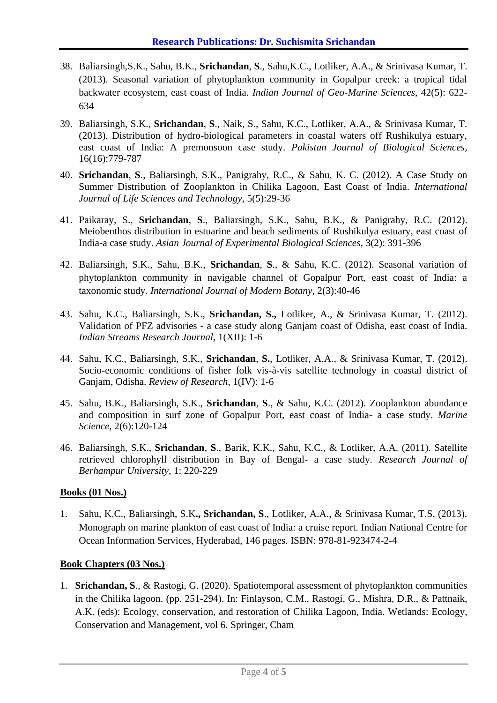- 38. Baliarsingh,S.K., Sahu, B.K., **Srichandan**, **S**., Sahu,K.C., Lotliker, A.A., & Srinivasa Kumar, T. (2013). Seasonal variation of phytoplankton community in Gopalpur creek: a tropical tidal backwater ecosystem, east coast of India. *Indian Journal of Geo-Marine Sciences*, 42(5): 622- 634
- 39. Baliarsingh, S.K., **Srichandan**, **S**., Naik, S., Sahu, K.C., Lotliker, A.A., & Srinivasa Kumar, T. (2013). Distribution of hydro-biological parameters in coastal waters off Rushikulya estuary, east coast of India: A premonsoon case study. *Pakistan Journal of Biological Sciences*, 16(16):779-787
- 40. **Srichandan**, **S**., Baliarsingh, S.K., Panigrahy, R.C., & Sahu, K. C. (2012). A Case Study on Summer Distribution of Zooplankton in Chilika Lagoon, East Coast of India. *International Journal of Life Sciences and Technology*, 5(5):29-36
- 41. Paikaray, S., **Srichandan**, **S**., Baliarsingh, S.K., Sahu, B.K., & Panigrahy, R.C. (2012). Meiobenthos distribution in estuarine and beach sediments of Rushikulya estuary, east coast of India-a case study. *Asian Journal of Experimental Biological Sciences*, 3(2): 391-396
- 42. Baliarsingh, S.K., Sahu, B.K., **Srichandan**, **S**., & Sahu, K.C. (2012). Seasonal variation of phytoplankton community in navigable channel of Gopalpur Port, east coast of India: a taxonomic study. *International Journal of Modern Botany*, 2(3):40-46
- 43. Sahu, K.C., Baliarsingh, S.K., **Srichandan, S.,** Lotliker, A., & Srinivasa Kumar, T. (2012). Validation of PFZ advisories - a case study along Ganjam coast of Odisha, east coast of India. *Indian Streams Research Journal*, 1(XII): 1-6
- 44. Sahu, K.C., Baliarsingh, S.K., **Srichandan**, **S.**, Lotliker, A.A., & Srinivasa Kumar, T. (2012). Socio-economic conditions of fisher folk vis-à-vis satellite technology in coastal district of Ganjam, Odisha. *Review of Research*, 1(IV): 1-6
- 45. Sahu, B.K., Baliarsingh, S.K., **Srichandan**, **S**., & Sahu, K.C. (2012). Zooplankton abundance and composition in surf zone of Gopalpur Port, east coast of India- a case study. *Marine Science,* 2(6):120-124
- 46. Baliarsingh, S.K., **Srichandan**, **S**., Barik, K.K., Sahu, K.C., & Lotliker, A.A. (2011). Satellite retrieved chlorophyll distribution in Bay of Bengal- a case study. *Research Journal of Berhampur University*, 1: 220-229

### **Books (01 Nos.)**

1. Sahu, K.C., Baliarsingh, S.K**., Srichandan, S**., Lotliker, A.A., & Srinivasa Kumar, T.S. (2013). Monograph on marine plankton of east coast of India: a cruise report. Indian National Centre for Ocean Information Services, Hyderabad, 146 pages. ISBN: 978-81-923474-2-4

### **Book Chapters (03 Nos.)**

1. **Srichandan, S**., & Rastogi, G. (2020). Spatiotemporal assessment of phytoplankton communities in the Chilika lagoon. (pp. 251-294). In: Finlayson, C.M., Rastogi, G., Mishra, D.R., & Pattnaik, A.K. (eds): Ecology, conservation, and restoration of Chilika Lagoon, India. Wetlands: Ecology, Conservation and Management, vol 6. Springer, Cham